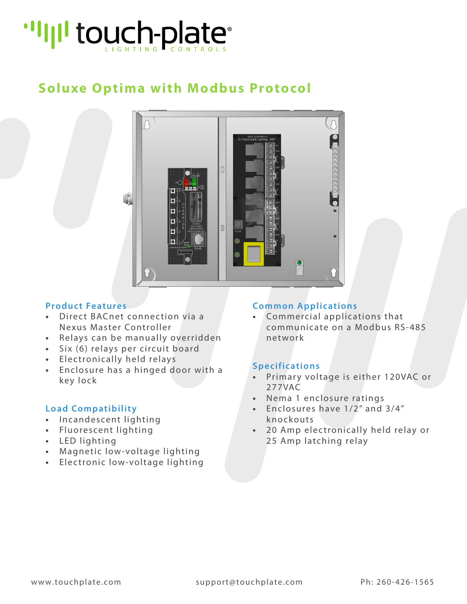# "I'll touch-plate"

## **Soluxe Optima with Modbus Protocol**



#### **Product Features**

- **•** Direct BACnet connection via a Nexus Master Controller
- **•** Relays can be manually overridden
- **•** Six (6) relays per circuit board
- **•** Electronically held relays
- **•** Enclosure has a hinged door with a key lock

#### **Load Compatibility**

- **•** Incandescent lighting
- **•** Fluorescent lighting
- **•** LED lighting
- **•** Magnetic low-voltage lighting
- **•** Electronic low-voltage lighting

#### **Common Applications**

**•** Commercial applications that communicate on a Modbus RS-485 network

#### **Specifications**

- **•** Primary voltage is either 120VAC or 277VAC
- **•** Nema 1 enclosure ratings
- **•** Enclosures have 1/2" and 3/4" knockouts
- **•** 20 Amp electronically held relay or 25 Amp latching relay